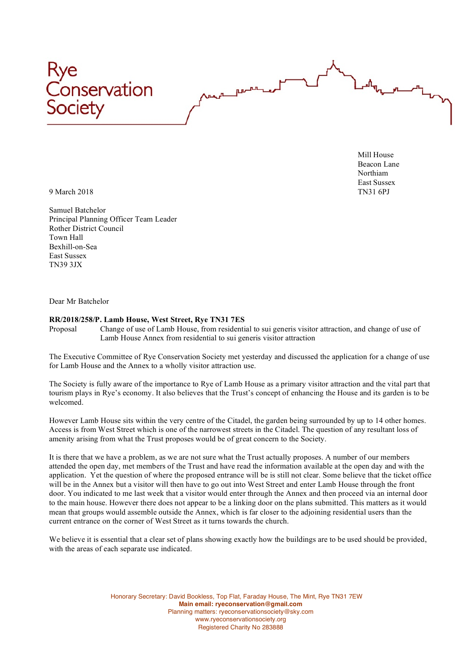

Mill House Beacon Lane Northiam East Sussex

9 March 2018 TN31 6PJ

Samuel Batchelor Principal Planning Officer Team Leader Rother District Council Town Hall Bexhill-on-Sea East Sussex TN39 3JX

Dear Mr Batchelor

## **RR/2018/258/P. Lamb House, West Street, Rye TN31 7ES**

Proposal Change of use of Lamb House, from residential to sui generis visitor attraction, and change of use of Lamb House Annex from residential to sui generis visitor attraction

The Executive Committee of Rye Conservation Society met yesterday and discussed the application for a change of use for Lamb House and the Annex to a wholly visitor attraction use.

The Society is fully aware of the importance to Rye of Lamb House as a primary visitor attraction and the vital part that tourism plays in Rye's economy. It also believes that the Trust's concept of enhancing the House and its garden is to be welcomed.

However Lamb House sits within the very centre of the Citadel, the garden being surrounded by up to 14 other homes. Access is from West Street which is one of the narrowest streets in the Citadel. The question of any resultant loss of amenity arising from what the Trust proposes would be of great concern to the Society.

It is there that we have a problem, as we are not sure what the Trust actually proposes. A number of our members attended the open day, met members of the Trust and have read the information available at the open day and with the application. Yet the question of where the proposed entrance will be is still not clear. Some believe that the ticket office will be in the Annex but a visitor will then have to go out into West Street and enter Lamb House through the front door. You indicated to me last week that a visitor would enter through the Annex and then proceed via an internal door to the main house. However there does not appear to be a linking door on the plans submitted. This matters as it would mean that groups would assemble outside the Annex, which is far closer to the adjoining residential users than the current entrance on the corner of West Street as it turns towards the church.

We believe it is essential that a clear set of plans showing exactly how the buildings are to be used should be provided, with the areas of each separate use indicated.

> Honorary Secretary: David Bookless, Top Flat, Faraday House, The Mint, Rye TN31 7EW **Main email: ryeconservation@gmail.com** Planning matters: ryeconservationsociety@sky.com www.ryeconservationsociety.org Registered Charity No 283888